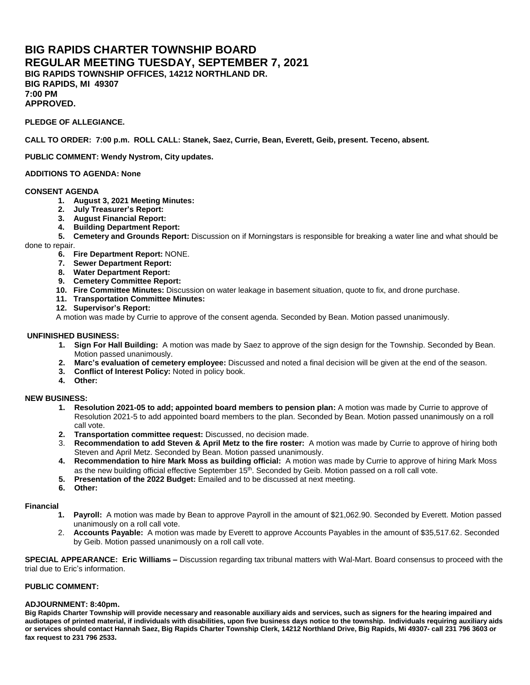## **BIG RAPIDS CHARTER TOWNSHIP BOARD REGULAR MEETING TUESDAY, SEPTEMBER 7, 2021 BIG RAPIDS TOWNSHIP OFFICES, 14212 NORTHLAND DR.**

**BIG RAPIDS, MI 49307 7:00 PM APPROVED.**

#### **PLEDGE OF ALLEGIANCE.**

**CALL TO ORDER: 7:00 p.m. ROLL CALL: Stanek, Saez, Currie, Bean, Everett, Geib, present. Teceno, absent.**

**PUBLIC COMMENT: Wendy Nystrom, City updates.** 

#### **ADDITIONS TO AGENDA: None**

#### **CONSENT AGENDA**

- **1. August 3, 2021 Meeting Minutes:**
- **2. July Treasurer's Report:**
- **3. August Financial Report:**
- **4. Building Department Report:**
- **5. Cemetery and Grounds Report:** Discussion on if Morningstars is responsible for breaking a water line and what should be done to repair.
	- **6. Fire Department Report:** NONE.
	- **7. Sewer Department Report:**
	- **8. Water Department Report:**
	- **9. Cemetery Committee Report:**
	- **10. Fire Committee Minutes:** Discussion on water leakage in basement situation, quote to fix, and drone purchase.
	- **11. Transportation Committee Minutes:**
	- **12. Supervisor's Report:**

A motion was made by Currie to approve of the consent agenda. Seconded by Bean. Motion passed unanimously.

### **UNFINISHED BUSINESS:**

- **1. Sign For Hall Building:** A motion was made by Saez to approve of the sign design for the Township. Seconded by Bean. Motion passed unanimously.
- **2. Marc's evaluation of cemetery employee:** Discussed and noted a final decision will be given at the end of the season.
- **3. Conflict of Interest Policy:** Noted in policy book.
- **4. Other:**

#### **NEW BUSINESS:**

- **1. Resolution 2021-05 to add; appointed board members to pension plan:** A motion was made by Currie to approve of Resolution 2021-5 to add appointed board members to the plan. Seconded by Bean. Motion passed unanimously on a roll call vote.
- **2. Transportation committee request:** Discussed, no decision made.
- 3. **Recommendation to add Steven & April Metz to the fire roster:** A motion was made by Currie to approve of hiring both Steven and April Metz. Seconded by Bean. Motion passed unanimously.
- **4. Recommendation to hire Mark Moss as building official:** A motion was made by Currie to approve of hiring Mark Moss as the new building official effective September  $15<sup>th</sup>$ . Seconded by Geib. Motion passed on a roll call vote.
- **5. Presentation of the 2022 Budget:** Emailed and to be discussed at next meeting.
- **6. Other:**

#### **Financial**

- **1. Payroll:** A motion was made by Bean to approve Payroll in the amount of \$21,062.90. Seconded by Everett. Motion passed unanimously on a roll call vote.
- 2. **Accounts Payable:** A motion was made by Everett to approve Accounts Payables in the amount of \$35,517.62. Seconded by Geib. Motion passed unanimously on a roll call vote.

**SPECIAL APPEARANCE: Eric Williams –** Discussion regarding tax tribunal matters with Wal-Mart. Board consensus to proceed with the trial due to Eric's information.

## **PUBLIC COMMENT:**

#### **ADJOURNMENT: 8:40pm.**

**Big Rapids Charter Township will provide necessary and reasonable auxiliary aids and services, such as signers for the hearing impaired and audiotapes of printed material, if individuals with disabilities, upon five business days notice to the township. Individuals requiring auxiliary aids or services should contact Hannah Saez, Big Rapids Charter Township Clerk, 14212 Northland Drive, Big Rapids, Mi 49307- call 231 796 3603 or fax request to 231 796 2533.**